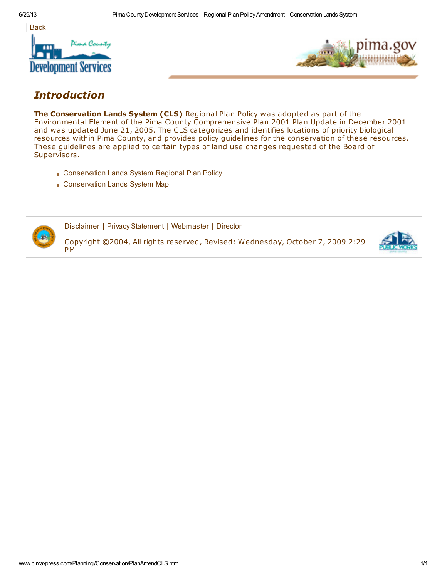



## Introduction

The Conservation Lands System (CLS) Regional Plan Policy was adopted as part of the Environmental Element of the Pima County Comprehensive Plan 2001 Plan Update in December 2001 and was updated June 21, 2005. The CLS categorizes and identifies locations of priority biological resources within Pima County, and provides policy guidelines for the conservation of these resources. These guidelines are applied to certain types of land use changes requested of the Board of Supervisors.

- [Conservation](http://www.pimaxpress.com/Documents/Planning/ComprehensivePlan/PDF/CLS/CLS_Adopted_Policy.pdf) Lands System Regional Plan Policy
- [Conservation](http://www.pimaxpress.com/Documents/Planning/ComprehensivePlan/PDF/CLS/cls_map_0605_adopt.pdf) Lands System Map



[Disclaimer](http://www.pimaxpress.com/disclaimer.htm) | Privacy [Statement](http://www.pimaxpress.com/Privacy.htm) | [Webmaster](mailto:Webmaster@dsd.pima.gov) | [Director](mailto:Director@dsd.pima.gov)

Copyright ©2004, All rights reserved, Revised: Wednesday, October 7, 2009 2:29 PM

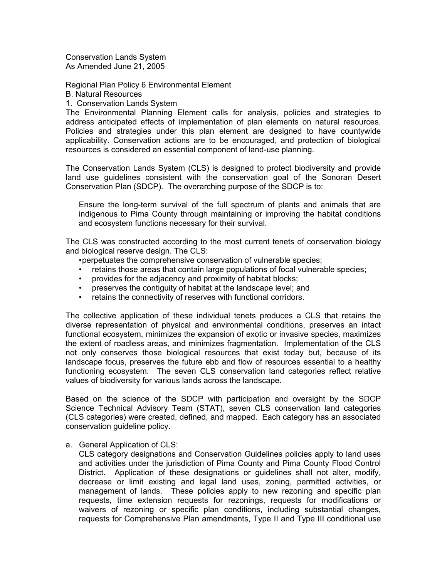Conservation Lands System As Amended June 21, 2005

Regional Plan Policy 6 Environmental Element

B. Natural Resources

1. Conservation Lands System

The Environmental Planning Element calls for analysis, policies and strategies to address anticipated effects of implementation of plan elements on natural resources. Policies and strategies under this plan element are designed to have countywide applicability. Conservation actions are to be encouraged, and protection of biological resources is considered an essential component of land-use planning.

The Conservation Lands System (CLS) is designed to protect biodiversity and provide land use guidelines consistent with the conservation goal of the Sonoran Desert Conservation Plan (SDCP). The overarching purpose of the SDCP is to:

 Ensure the long-term survival of the full spectrum of plants and animals that are indigenous to Pima County through maintaining or improving the habitat conditions and ecosystem functions necessary for their survival.

The CLS was constructed according to the most current tenets of conservation biology and biological reserve design. The CLS:

- perpetuates the comprehensive conservation of vulnerable species;
- retains those areas that contain large populations of focal vulnerable species;
- provides for the adjacency and proximity of habitat blocks;
- preserves the contiguity of habitat at the landscape level; and
- retains the connectivity of reserves with functional corridors.

The collective application of these individual tenets produces a CLS that retains the diverse representation of physical and environmental conditions, preserves an intact functional ecosystem, minimizes the expansion of exotic or invasive species, maximizes the extent of roadless areas, and minimizes fragmentation. Implementation of the CLS not only conserves those biological resources that exist today but, because of its landscape focus, preserves the future ebb and flow of resources essential to a healthy functioning ecosystem. The seven CLS conservation land categories reflect relative values of biodiversity for various lands across the landscape.

Based on the science of the SDCP with participation and oversight by the SDCP Science Technical Advisory Team (STAT), seven CLS conservation land categories (CLS categories) were created, defined, and mapped. Each category has an associated conservation guideline policy.

a. General Application of CLS:

CLS category designations and Conservation Guidelines policies apply to land uses and activities under the jurisdiction of Pima County and Pima County Flood Control District. Application of these designations or guidelines shall not alter, modify, decrease or limit existing and legal land uses, zoning, permitted activities, or management of lands. These policies apply to new rezoning and specific plan requests, time extension requests for rezonings, requests for modifications or waivers of rezoning or specific plan conditions, including substantial changes, requests for Comprehensive Plan amendments, Type II and Type III conditional use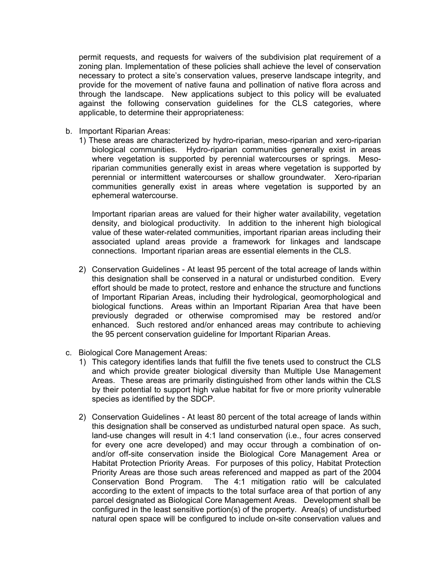permit requests, and requests for waivers of the subdivision plat requirement of a zoning plan. Implementation of these policies shall achieve the level of conservation necessary to protect a site's conservation values, preserve landscape integrity, and provide for the movement of native fauna and pollination of native flora across and through the landscape. New applications subject to this policy will be evaluated against the following conservation guidelines for the CLS categories, where applicable, to determine their appropriateness:

- b. Important Riparian Areas:
	- 1) These areas are characterized by hydro-riparian, meso-riparian and xero-riparian biological communities. Hydro-riparian communities generally exist in areas where vegetation is supported by perennial watercourses or springs. Mesoriparian communities generally exist in areas where vegetation is supported by perennial or intermittent watercourses or shallow groundwater. Xero-riparian communities generally exist in areas where vegetation is supported by an ephemeral watercourse.

Important riparian areas are valued for their higher water availability, vegetation density, and biological productivity. In addition to the inherent high biological value of these water-related communities, important riparian areas including their associated upland areas provide a framework for linkages and landscape connections. Important riparian areas are essential elements in the CLS.

- 2) Conservation Guidelines At least 95 percent of the total acreage of lands within this designation shall be conserved in a natural or undisturbed condition. Every effort should be made to protect, restore and enhance the structure and functions of Important Riparian Areas, including their hydrological, geomorphological and biological functions. Areas within an Important Riparian Area that have been previously degraded or otherwise compromised may be restored and/or enhanced. Such restored and/or enhanced areas may contribute to achieving the 95 percent conservation guideline for Important Riparian Areas.
- c. Biological Core Management Areas:
	- 1) This category identifies lands that fulfill the five tenets used to construct the CLS and which provide greater biological diversity than Multiple Use Management Areas. These areas are primarily distinguished from other lands within the CLS by their potential to support high value habitat for five or more priority vulnerable species as identified by the SDCP.
	- 2) Conservation Guidelines At least 80 percent of the total acreage of lands within this designation shall be conserved as undisturbed natural open space. As such, land-use changes will result in 4:1 land conservation (i.e., four acres conserved for every one acre developed) and may occur through a combination of onand/or off-site conservation inside the Biological Core Management Area or Habitat Protection Priority Areas. For purposes of this policy, Habitat Protection Priority Areas are those such areas referenced and mapped as part of the 2004 Conservation Bond Program. The 4:1 mitigation ratio will be calculated according to the extent of impacts to the total surface area of that portion of any parcel designated as Biological Core Management Areas. Development shall be configured in the least sensitive portion(s) of the property. Area(s) of undisturbed natural open space will be configured to include on-site conservation values and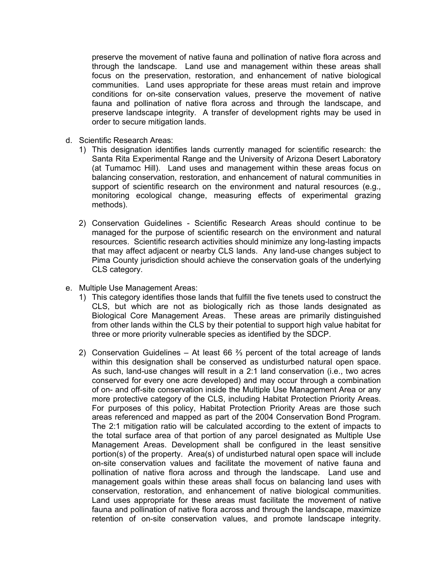preserve the movement of native fauna and pollination of native flora across and through the landscape. Land use and management within these areas shall focus on the preservation, restoration, and enhancement of native biological communities. Land uses appropriate for these areas must retain and improve conditions for on-site conservation values, preserve the movement of native fauna and pollination of native flora across and through the landscape, and preserve landscape integrity. A transfer of development rights may be used in order to secure mitigation lands.

- d. Scientific Research Areas:
	- 1) This designation identifies lands currently managed for scientific research: the Santa Rita Experimental Range and the University of Arizona Desert Laboratory (at Tumamoc Hill). Land uses and management within these areas focus on balancing conservation, restoration, and enhancement of natural communities in support of scientific research on the environment and natural resources (e.g., monitoring ecological change, measuring effects of experimental grazing methods).
	- 2) Conservation Guidelines Scientific Research Areas should continue to be managed for the purpose of scientific research on the environment and natural resources. Scientific research activities should minimize any long-lasting impacts that may affect adjacent or nearby CLS lands. Any land-use changes subject to Pima County jurisdiction should achieve the conservation goals of the underlying CLS category.
- e. Multiple Use Management Areas:
	- 1) This category identifies those lands that fulfill the five tenets used to construct the CLS, but which are not as biologically rich as those lands designated as Biological Core Management Areas. These areas are primarily distinguished from other lands within the CLS by their potential to support high value habitat for three or more priority vulnerable species as identified by the SDCP.
	- 2) Conservation Guidelines At least 66  $\frac{2}{3}$  percent of the total acreage of lands within this designation shall be conserved as undisturbed natural open space. As such, land-use changes will result in a 2:1 land conservation (i.e., two acres conserved for every one acre developed) and may occur through a combination of on- and off-site conservation inside the Multiple Use Management Area or any more protective category of the CLS, including Habitat Protection Priority Areas. For purposes of this policy, Habitat Protection Priority Areas are those such areas referenced and mapped as part of the 2004 Conservation Bond Program. The 2:1 mitigation ratio will be calculated according to the extent of impacts to the total surface area of that portion of any parcel designated as Multiple Use Management Areas. Development shall be configured in the least sensitive portion(s) of the property. Area(s) of undisturbed natural open space will include on-site conservation values and facilitate the movement of native fauna and pollination of native flora across and through the landscape. Land use and management goals within these areas shall focus on balancing land uses with conservation, restoration, and enhancement of native biological communities. Land uses appropriate for these areas must facilitate the movement of native fauna and pollination of native flora across and through the landscape, maximize retention of on-site conservation values, and promote landscape integrity.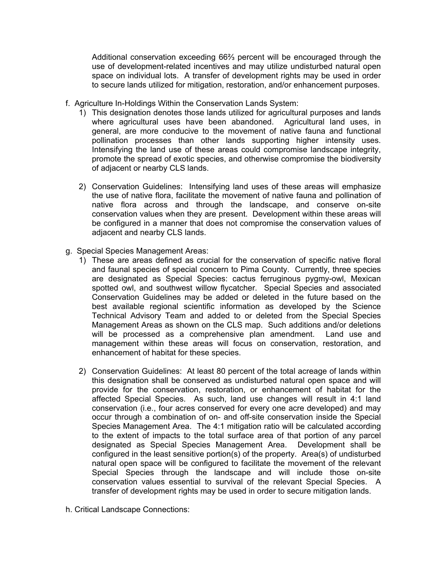Additional conservation exceeding 66⅔ percent will be encouraged through the use of development-related incentives and may utilize undisturbed natural open space on individual lots. A transfer of development rights may be used in order to secure lands utilized for mitigation, restoration, and/or enhancement purposes.

- f. Agriculture In-Holdings Within the Conservation Lands System:
	- 1) This designation denotes those lands utilized for agricultural purposes and lands where agricultural uses have been abandoned. Agricultural land uses, in general, are more conducive to the movement of native fauna and functional pollination processes than other lands supporting higher intensity uses. Intensifying the land use of these areas could compromise landscape integrity, promote the spread of exotic species, and otherwise compromise the biodiversity of adjacent or nearby CLS lands.
	- 2) Conservation Guidelines: Intensifying land uses of these areas will emphasize the use of native flora, facilitate the movement of native fauna and pollination of native flora across and through the landscape, and conserve on-site conservation values when they are present. Development within these areas will be configured in a manner that does not compromise the conservation values of adjacent and nearby CLS lands.
- g. Special Species Management Areas:
	- 1) These are areas defined as crucial for the conservation of specific native floral and faunal species of special concern to Pima County. Currently, three species are designated as Special Species: cactus ferruginous pygmy-owl, Mexican spotted owl, and southwest willow flycatcher. Special Species and associated Conservation Guidelines may be added or deleted in the future based on the best available regional scientific information as developed by the Science Technical Advisory Team and added to or deleted from the Special Species Management Areas as shown on the CLS map. Such additions and/or deletions will be processed as a comprehensive plan amendment. Land use and management within these areas will focus on conservation, restoration, and enhancement of habitat for these species.
	- 2) Conservation Guidelines: At least 80 percent of the total acreage of lands within this designation shall be conserved as undisturbed natural open space and will provide for the conservation, restoration, or enhancement of habitat for the affected Special Species. As such, land use changes will result in 4:1 land conservation (i.e., four acres conserved for every one acre developed) and may occur through a combination of on- and off-site conservation inside the Special Species Management Area. The 4:1 mitigation ratio will be calculated according to the extent of impacts to the total surface area of that portion of any parcel designated as Special Species Management Area. Development shall be configured in the least sensitive portion(s) of the property. Area(s) of undisturbed natural open space will be configured to facilitate the movement of the relevant Special Species through the landscape and will include those on-site conservation values essential to survival of the relevant Special Species. A transfer of development rights may be used in order to secure mitigation lands.
- h. Critical Landscape Connections: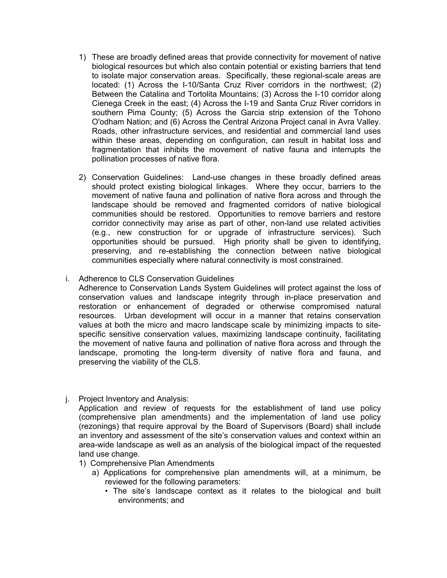- 1) These are broadly defined areas that provide connectivity for movement of native biological resources but which also contain potential or existing barriers that tend to isolate major conservation areas. Specifically, these regional-scale areas are located: (1) Across the I-10/Santa Cruz River corridors in the northwest; (2) Between the Catalina and Tortolita Mountains; (3) Across the I-10 corridor along Cienega Creek in the east; (4) Across the I-19 and Santa Cruz River corridors in southern Pima County; (5) Across the Garcia strip extension of the Tohono O'odham Nation; and (6) Across the Central Arizona Project canal in Avra Valley. Roads, other infrastructure services, and residential and commercial land uses within these areas, depending on configuration, can result in habitat loss and fragmentation that inhibits the movement of native fauna and interrupts the pollination processes of native flora.
- 2) Conservation Guidelines: Land-use changes in these broadly defined areas should protect existing biological linkages. Where they occur, barriers to the movement of native fauna and pollination of native flora across and through the landscape should be removed and fragmented corridors of native biological communities should be restored. Opportunities to remove barriers and restore corridor connectivity may arise as part of other, non-land use related activities (e.g., new construction for or upgrade of infrastructure services). Such opportunities should be pursued. High priority shall be given to identifying, preserving, and re-establishing the connection between native biological communities especially where natural connectivity is most constrained.
- i. Adherence to CLS Conservation Guidelines

 Adherence to Conservation Lands System Guidelines will protect against the loss of conservation values and landscape integrity through in-place preservation and restoration or enhancement of degraded or otherwise compromised natural resources. Urban development will occur in a manner that retains conservation values at both the micro and macro landscape scale by minimizing impacts to sitespecific sensitive conservation values, maximizing landscape continuity, facilitating the movement of native fauna and pollination of native flora across and through the landscape, promoting the long-term diversity of native flora and fauna, and preserving the viability of the CLS.

j. Project Inventory and Analysis:

 Application and review of requests for the establishment of land use policy (comprehensive plan amendments) and the implementation of land use policy (rezonings) that require approval by the Board of Supervisors (Board) shall include an inventory and assessment of the site's conservation values and context within an area-wide landscape as well as an analysis of the biological impact of the requested land use change.

- 1) Comprehensive Plan Amendments
	- a) Applications for comprehensive plan amendments will, at a minimum, be reviewed for the following parameters:
		- The site's landscape context as it relates to the biological and built environments; and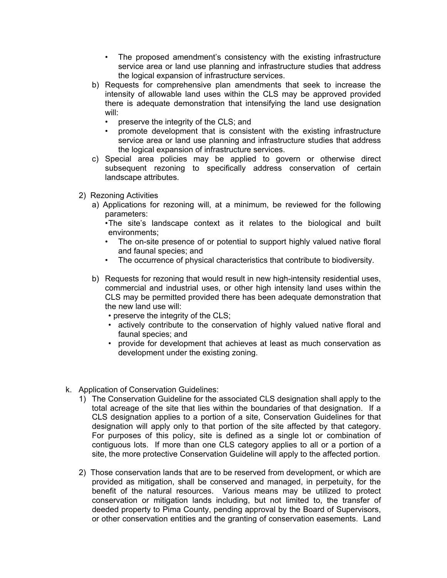- The proposed amendment's consistency with the existing infrastructure service area or land use planning and infrastructure studies that address the logical expansion of infrastructure services.
- b) Requests for comprehensive plan amendments that seek to increase the intensity of allowable land uses within the CLS may be approved provided there is adequate demonstration that intensifying the land use designation will:
	- preserve the integrity of the CLS; and
	- promote development that is consistent with the existing infrastructure service area or land use planning and infrastructure studies that address the logical expansion of infrastructure services.
- c) Special area policies may be applied to govern or otherwise direct subsequent rezoning to specifically address conservation of certain landscape attributes.
- 2) Rezoning Activities
	- a) Applications for rezoning will, at a minimum, be reviewed for the following parameters:

• The site's landscape context as it relates to the biological and built environments;

- The on-site presence of or potential to support highly valued native floral and faunal species; and
- The occurrence of physical characteristics that contribute to biodiversity.
- b) Requests for rezoning that would result in new high-intensity residential uses, commercial and industrial uses, or other high intensity land uses within the CLS may be permitted provided there has been adequate demonstration that the new land use will:
	- preserve the integrity of the CLS;
	- actively contribute to the conservation of highly valued native floral and faunal species; and
	- provide for development that achieves at least as much conservation as development under the existing zoning.
- k. Application of Conservation Guidelines:
	- 1) The Conservation Guideline for the associated CLS designation shall apply to the total acreage of the site that lies within the boundaries of that designation. If a CLS designation applies to a portion of a site, Conservation Guidelines for that designation will apply only to that portion of the site affected by that category. For purposes of this policy, site is defined as a single lot or combination of contiguous lots. If more than one CLS category applies to all or a portion of a site, the more protective Conservation Guideline will apply to the affected portion.
	- 2) Those conservation lands that are to be reserved from development, or which are provided as mitigation, shall be conserved and managed, in perpetuity, for the benefit of the natural resources. Various means may be utilized to protect conservation or mitigation lands including, but not limited to, the transfer of deeded property to Pima County, pending approval by the Board of Supervisors, or other conservation entities and the granting of conservation easements. Land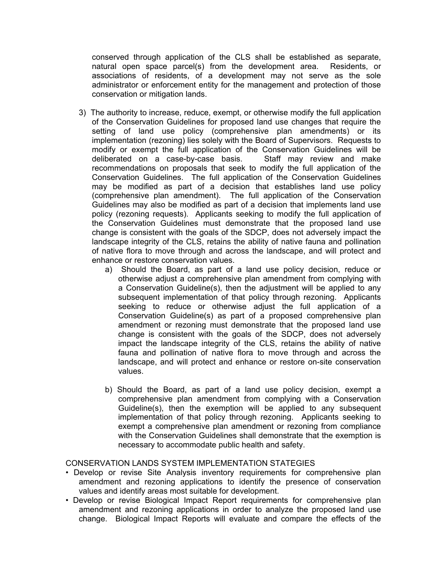conserved through application of the CLS shall be established as separate, natural open space parcel(s) from the development area. Residents, or associations of residents, of a development may not serve as the sole administrator or enforcement entity for the management and protection of those conservation or mitigation lands.

- 3) The authority to increase, reduce, exempt, or otherwise modify the full application of the Conservation Guidelines for proposed land use changes that require the setting of land use policy (comprehensive plan amendments) or its implementation (rezoning) lies solely with the Board of Supervisors. Requests to modify or exempt the full application of the Conservation Guidelines will be deliberated on a case-by-case basis. Staff may review and make recommendations on proposals that seek to modify the full application of the Conservation Guidelines. The full application of the Conservation Guidelines may be modified as part of a decision that establishes land use policy (comprehensive plan amendment). The full application of the Conservation Guidelines may also be modified as part of a decision that implements land use policy (rezoning requests). Applicants seeking to modify the full application of the Conservation Guidelines must demonstrate that the proposed land use change is consistent with the goals of the SDCP, does not adversely impact the landscape integrity of the CLS, retains the ability of native fauna and pollination of native flora to move through and across the landscape, and will protect and enhance or restore conservation values.
	- a) Should the Board, as part of a land use policy decision, reduce or otherwise adjust a comprehensive plan amendment from complying with a Conservation Guideline(s), then the adjustment will be applied to any subsequent implementation of that policy through rezoning. Applicants seeking to reduce or otherwise adjust the full application of a Conservation Guideline(s) as part of a proposed comprehensive plan amendment or rezoning must demonstrate that the proposed land use change is consistent with the goals of the SDCP, does not adversely impact the landscape integrity of the CLS, retains the ability of native fauna and pollination of native flora to move through and across the landscape, and will protect and enhance or restore on-site conservation values.
	- b) Should the Board, as part of a land use policy decision, exempt a comprehensive plan amendment from complying with a Conservation Guideline(s), then the exemption will be applied to any subsequent implementation of that policy through rezoning. Applicants seeking to exempt a comprehensive plan amendment or rezoning from compliance with the Conservation Guidelines shall demonstrate that the exemption is necessary to accommodate public health and safety.

## CONSERVATION LANDS SYSTEM IMPLEMENTATION STATEGIES

- Develop or revise Site Analysis inventory requirements for comprehensive plan amendment and rezoning applications to identify the presence of conservation values and identify areas most suitable for development.
- Develop or revise Biological Impact Report requirements for comprehensive plan amendment and rezoning applications in order to analyze the proposed land use change. Biological Impact Reports will evaluate and compare the effects of the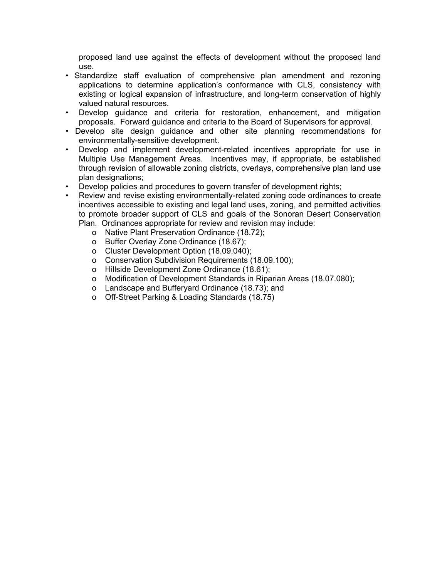proposed land use against the effects of development without the proposed land use.

- Standardize staff evaluation of comprehensive plan amendment and rezoning applications to determine application's conformance with CLS, consistency with existing or logical expansion of infrastructure, and long-term conservation of highly valued natural resources.
- Develop guidance and criteria for restoration, enhancement, and mitigation proposals. Forward guidance and criteria to the Board of Supervisors for approval.
- Develop site design guidance and other site planning recommendations for environmentally-sensitive development.
- Develop and implement development-related incentives appropriate for use in Multiple Use Management Areas. Incentives may, if appropriate, be established through revision of allowable zoning districts, overlays, comprehensive plan land use plan designations;
- Develop policies and procedures to govern transfer of development rights;
- Review and revise existing environmentally-related zoning code ordinances to create incentives accessible to existing and legal land uses, zoning, and permitted activities to promote broader support of CLS and goals of the Sonoran Desert Conservation Plan. Ordinances appropriate for review and revision may include:
	- o Native Plant Preservation Ordinance (18.72);
	- o Buffer Overlay Zone Ordinance (18.67);
	- o Cluster Development Option (18.09.040);
	- o Conservation Subdivision Requirements (18.09.100);
	- o Hillside Development Zone Ordinance (18.61);
	- o Modification of Development Standards in Riparian Areas (18.07.080);
	- o Landscape and Bufferyard Ordinance (18.73); and
	- o Off-Street Parking & Loading Standards (18.75)